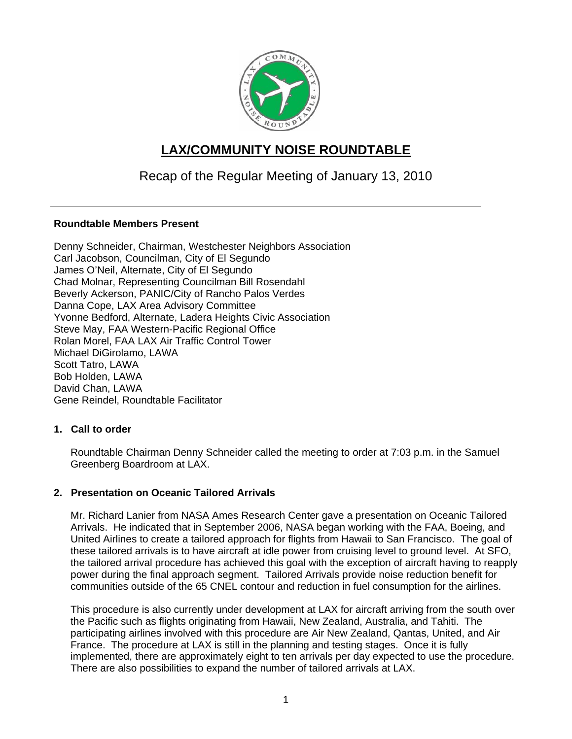

# **LAX/COMMUNITY NOISE ROUNDTABLE**

## Recap of the Regular Meeting of January 13, 2010

## **Roundtable Members Present**

Denny Schneider, Chairman, Westchester Neighbors Association Carl Jacobson, Councilman, City of El Segundo James O'Neil, Alternate, City of El Segundo Chad Molnar, Representing Councilman Bill Rosendahl Beverly Ackerson, PANIC/City of Rancho Palos Verdes Danna Cope, LAX Area Advisory Committee Yvonne Bedford, Alternate, Ladera Heights Civic Association Steve May, FAA Western-Pacific Regional Office Rolan Morel, FAA LAX Air Traffic Control Tower Michael DiGirolamo, LAWA Scott Tatro, LAWA Bob Holden, LAWA David Chan, LAWA Gene Reindel, Roundtable Facilitator

### **1. Call to order**

Roundtable Chairman Denny Schneider called the meeting to order at 7:03 p.m. in the Samuel Greenberg Boardroom at LAX.

### **2. Presentation on Oceanic Tailored Arrivals**

Mr. Richard Lanier from NASA Ames Research Center gave a presentation on Oceanic Tailored Arrivals. He indicated that in September 2006, NASA began working with the FAA, Boeing, and United Airlines to create a tailored approach for flights from Hawaii to San Francisco. The goal of these tailored arrivals is to have aircraft at idle power from cruising level to ground level. At SFO, the tailored arrival procedure has achieved this goal with the exception of aircraft having to reapply power during the final approach segment. Tailored Arrivals provide noise reduction benefit for communities outside of the 65 CNEL contour and reduction in fuel consumption for the airlines.

This procedure is also currently under development at LAX for aircraft arriving from the south over the Pacific such as flights originating from Hawaii, New Zealand, Australia, and Tahiti. The participating airlines involved with this procedure are Air New Zealand, Qantas, United, and Air France. The procedure at LAX is still in the planning and testing stages. Once it is fully implemented, there are approximately eight to ten arrivals per day expected to use the procedure. There are also possibilities to expand the number of tailored arrivals at LAX.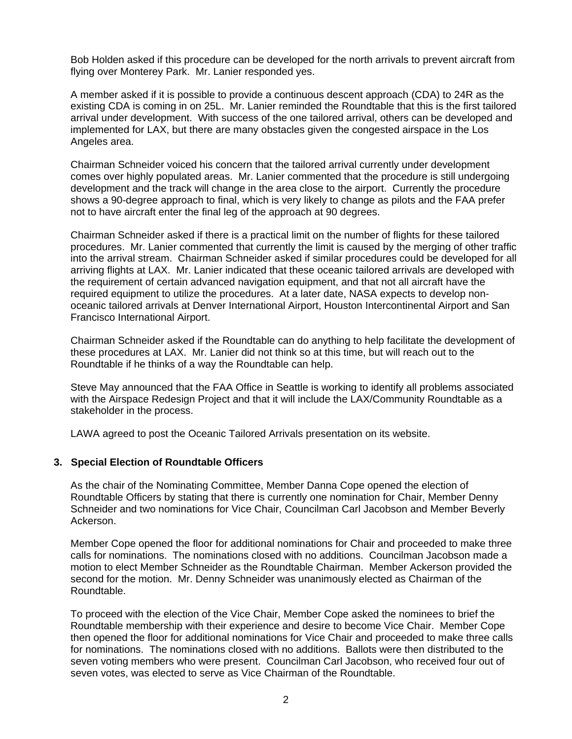Bob Holden asked if this procedure can be developed for the north arrivals to prevent aircraft from flying over Monterey Park. Mr. Lanier responded yes.

A member asked if it is possible to provide a continuous descent approach (CDA) to 24R as the existing CDA is coming in on 25L. Mr. Lanier reminded the Roundtable that this is the first tailored arrival under development. With success of the one tailored arrival, others can be developed and implemented for LAX, but there are many obstacles given the congested airspace in the Los Angeles area.

Chairman Schneider voiced his concern that the tailored arrival currently under development comes over highly populated areas. Mr. Lanier commented that the procedure is still undergoing development and the track will change in the area close to the airport. Currently the procedure shows a 90-degree approach to final, which is very likely to change as pilots and the FAA prefer not to have aircraft enter the final leg of the approach at 90 degrees.

Chairman Schneider asked if there is a practical limit on the number of flights for these tailored procedures. Mr. Lanier commented that currently the limit is caused by the merging of other traffic into the arrival stream. Chairman Schneider asked if similar procedures could be developed for all arriving flights at LAX. Mr. Lanier indicated that these oceanic tailored arrivals are developed with the requirement of certain advanced navigation equipment, and that not all aircraft have the required equipment to utilize the procedures. At a later date, NASA expects to develop nonoceanic tailored arrivals at Denver International Airport, Houston Intercontinental Airport and San Francisco International Airport.

Chairman Schneider asked if the Roundtable can do anything to help facilitate the development of these procedures at LAX. Mr. Lanier did not think so at this time, but will reach out to the Roundtable if he thinks of a way the Roundtable can help.

Steve May announced that the FAA Office in Seattle is working to identify all problems associated with the Airspace Redesign Project and that it will include the LAX/Community Roundtable as a stakeholder in the process.

LAWA agreed to post the Oceanic Tailored Arrivals presentation on its website.

### **3. Special Election of Roundtable Officers**

As the chair of the Nominating Committee, Member Danna Cope opened the election of Roundtable Officers by stating that there is currently one nomination for Chair, Member Denny Schneider and two nominations for Vice Chair, Councilman Carl Jacobson and Member Beverly Ackerson.

Member Cope opened the floor for additional nominations for Chair and proceeded to make three calls for nominations. The nominations closed with no additions. Councilman Jacobson made a motion to elect Member Schneider as the Roundtable Chairman. Member Ackerson provided the second for the motion. Mr. Denny Schneider was unanimously elected as Chairman of the Roundtable.

To proceed with the election of the Vice Chair, Member Cope asked the nominees to brief the Roundtable membership with their experience and desire to become Vice Chair. Member Cope then opened the floor for additional nominations for Vice Chair and proceeded to make three calls for nominations. The nominations closed with no additions. Ballots were then distributed to the seven voting members who were present. Councilman Carl Jacobson, who received four out of seven votes, was elected to serve as Vice Chairman of the Roundtable.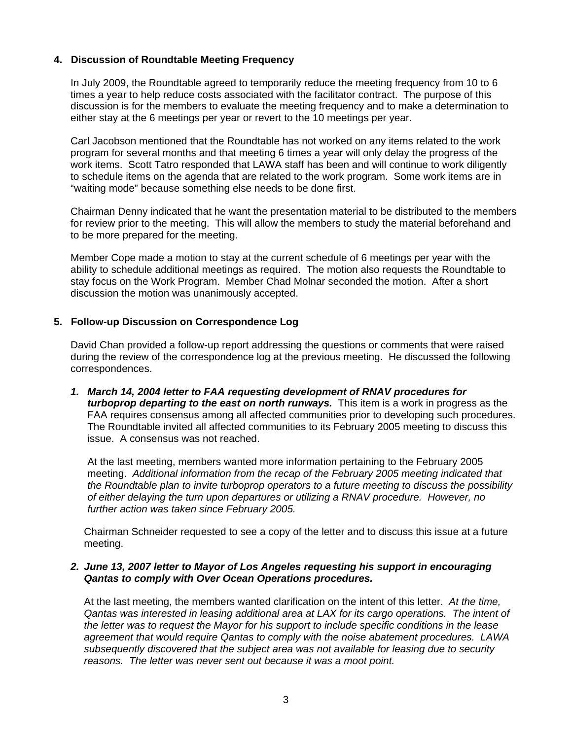## **4. Discussion of Roundtable Meeting Frequency**

In July 2009, the Roundtable agreed to temporarily reduce the meeting frequency from 10 to 6 times a year to help reduce costs associated with the facilitator contract. The purpose of this discussion is for the members to evaluate the meeting frequency and to make a determination to either stay at the 6 meetings per year or revert to the 10 meetings per year.

Carl Jacobson mentioned that the Roundtable has not worked on any items related to the work program for several months and that meeting 6 times a year will only delay the progress of the work items. Scott Tatro responded that LAWA staff has been and will continue to work diligently to schedule items on the agenda that are related to the work program. Some work items are in "waiting mode" because something else needs to be done first.

Chairman Denny indicated that he want the presentation material to be distributed to the members for review prior to the meeting. This will allow the members to study the material beforehand and to be more prepared for the meeting.

Member Cope made a motion to stay at the current schedule of 6 meetings per year with the ability to schedule additional meetings as required. The motion also requests the Roundtable to stay focus on the Work Program. Member Chad Molnar seconded the motion. After a short discussion the motion was unanimously accepted.

### **5. Follow-up Discussion on Correspondence Log**

David Chan provided a follow-up report addressing the questions or comments that were raised during the review of the correspondence log at the previous meeting. He discussed the following correspondences.

*1. March 14, 2004 letter to FAA requesting development of RNAV procedures for turboprop departing to the east on north runways.* This item is a work in progress as the FAA requires consensus among all affected communities prior to developing such procedures. The Roundtable invited all affected communities to its February 2005 meeting to discuss this issue. A consensus was not reached.

At the last meeting, members wanted more information pertaining to the February 2005 meeting. *Additional information from the recap of the February 2005 meeting indicated that the Roundtable plan to invite turboprop operators to a future meeting to discuss the possibility of either delaying the turn upon departures or utilizing a RNAV procedure. However, no further action was taken since February 2005.*

Chairman Schneider requested to see a copy of the letter and to discuss this issue at a future meeting.

#### *2. June 13, 2007 letter to Mayor of Los Angeles requesting his support in encouraging Qantas to comply with Over Ocean Operations procedures.*

At the last meeting, the members wanted clarification on the intent of this letter. *At the time, Qantas was interested in leasing additional area at LAX for its cargo operations. The intent of the letter was to request the Mayor for his support to include specific conditions in the lease agreement that would require Qantas to comply with the noise abatement procedures. LAWA subsequently discovered that the subject area was not available for leasing due to security reasons. The letter was never sent out because it was a moot point.*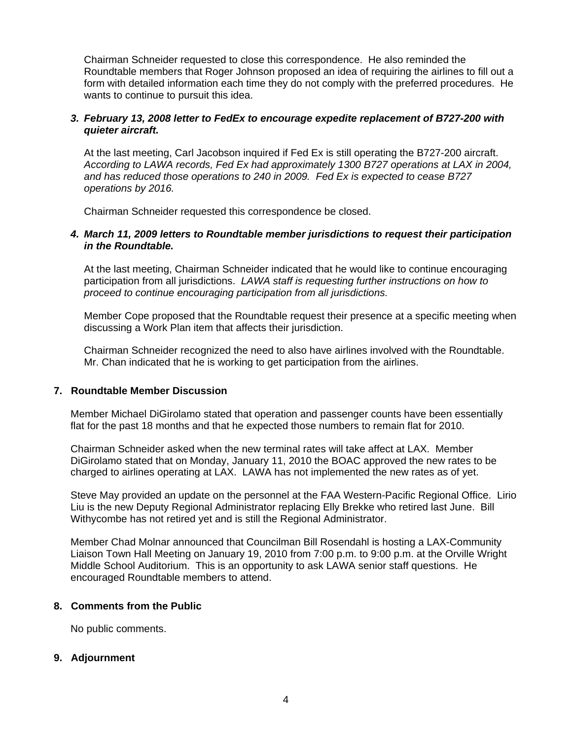Chairman Schneider requested to close this correspondence. He also reminded the Roundtable members that Roger Johnson proposed an idea of requiring the airlines to fill out a form with detailed information each time they do not comply with the preferred procedures. He wants to continue to pursuit this idea.

#### *3. February 13, 2008 letter to FedEx to encourage expedite replacement of B727-200 with quieter aircraft.*

At the last meeting, Carl Jacobson inquired if Fed Ex is still operating the B727-200 aircraft. *According to LAWA records, Fed Ex had approximately 1300 B727 operations at LAX in 2004, and has reduced those operations to 240 in 2009. Fed Ex is expected to cease B727 operations by 2016.*

Chairman Schneider requested this correspondence be closed.

#### *4. March 11, 2009 letters to Roundtable member jurisdictions to request their participation in the Roundtable.*

At the last meeting, Chairman Schneider indicated that he would like to continue encouraging participation from all jurisdictions. *LAWA staff is requesting further instructions on how to proceed to continue encouraging participation from all jurisdictions.* 

Member Cope proposed that the Roundtable request their presence at a specific meeting when discussing a Work Plan item that affects their jurisdiction.

Chairman Schneider recognized the need to also have airlines involved with the Roundtable. Mr. Chan indicated that he is working to get participation from the airlines.

#### **7. Roundtable Member Discussion**

Member Michael DiGirolamo stated that operation and passenger counts have been essentially flat for the past 18 months and that he expected those numbers to remain flat for 2010.

Chairman Schneider asked when the new terminal rates will take affect at LAX. Member DiGirolamo stated that on Monday, January 11, 2010 the BOAC approved the new rates to be charged to airlines operating at LAX. LAWA has not implemented the new rates as of yet.

Steve May provided an update on the personnel at the FAA Western-Pacific Regional Office. Lirio Liu is the new Deputy Regional Administrator replacing Elly Brekke who retired last June. Bill Withycombe has not retired yet and is still the Regional Administrator.

Member Chad Molnar announced that Councilman Bill Rosendahl is hosting a LAX-Community Liaison Town Hall Meeting on January 19, 2010 from 7:00 p.m. to 9:00 p.m. at the Orville Wright Middle School Auditorium. This is an opportunity to ask LAWA senior staff questions. He encouraged Roundtable members to attend.

#### **8. Comments from the Public**

No public comments.

#### **9. Adjournment**